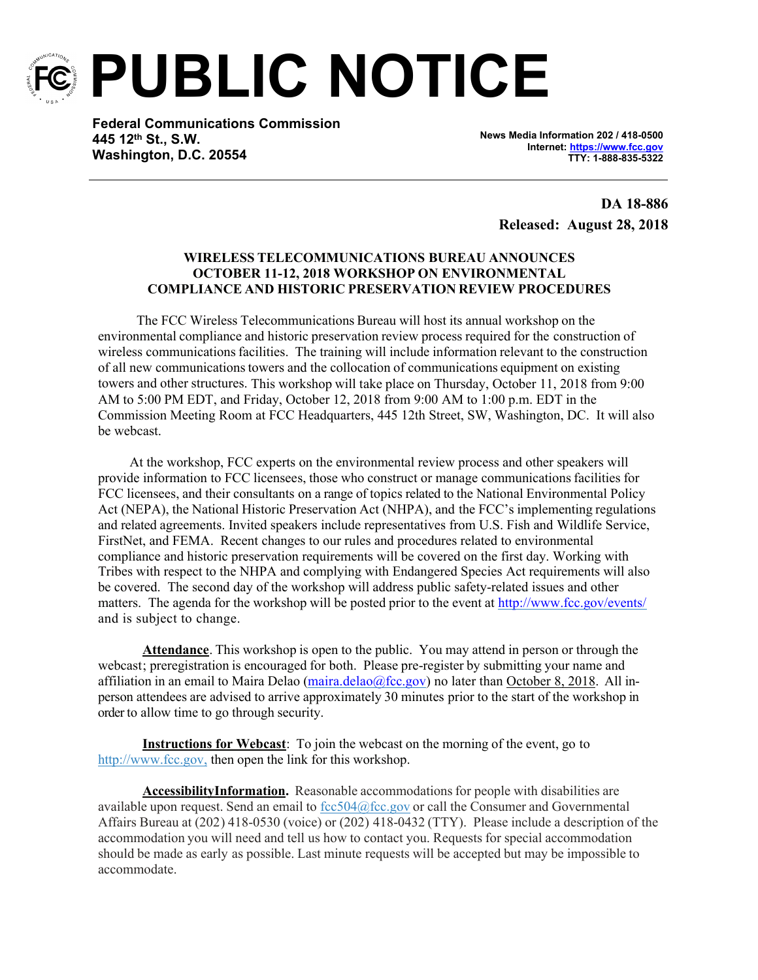

**PUBLIC NOTICE**

**Federal Communications Commission 445 12th St., S.W. Washington, D.C. 20554**

**News Media Information 202 / 418-0500 Internet: <https://www.fcc.gov> TTY: 1-888-835-5322**

**DA 18-886 Released: August 28, 2018**

## **WIRELESS TELECOMMUNICATIONS BUREAU ANNOUNCES OCTOBER 11-12, 2018 WORKSHOP ON ENVIRONMENTAL COMPLIANCE AND HISTORIC PRESERVATION REVIEW PROCEDURES**

The FCC Wireless Telecommunications Bureau will host its annual workshop on the environmental compliance and historic preservation review process required for the construction of wireless communications facilities. The training will include information relevant to the construction of all new communicationstowers and the collocation of communications equipment on existing towers and other structures. This workshop will take place on Thursday, October 11, 2018 from 9:00 AM to 5:00 PM EDT, and Friday, October 12, 2018 from 9:00 AM to 1:00 p.m. EDT in the Commission Meeting Room at FCC Headquarters, 445 12th Street, SW, Washington, DC. It will also be webcast.

At the workshop, FCC experts on the environmental review process and other speakers will provide information to FCC licensees, those who construct or manage communicationsfacilities for FCC licensees, and their consultants on a range of topics related to the National Environmental Policy Act (NEPA), the National Historic Preservation Act (NHPA), and the FCC's implementing regulations and related agreements. Invited speakers include representatives from U.S. Fish and Wildlife Service, FirstNet, and FEMA. Recent changes to our rules and procedures related to environmental compliance and historic preservation requirements will be covered on the first day. Working with Tribes with respect to the NHPA and complying with Endangered Species Act requirements will also be covered. The second day of the workshop will address public safety-related issues and other matters. The agenda for the workshop will be posted prior to the event at <http://www.fcc.gov/events/> and is subject to change.

**Attendance**. This workshop is open to the public. You may attend in person or through the webcast; preregistration is encouraged for both. Please pre-register by submitting your name and affiliation in an email to Maira Delao (maira.delao $@$ fcc.gov) no later than October 8, 2018. All inperson attendees are advised to arrive approximately 30 minutes prior to the start of the workshop in order to allow time to go through security.

**Instructions for Webcast**: To join the webcast on the morning of the event, go to [http://www.fcc.gov,](http://www.fcc.gov/) then open the link for this workshop.

**AccessibilityInformation.** Reasonable accommodationsfor people with disabilities are available upon request. Send an email to  $fcc.604@$  fcc.gov or call the Consumer and Governmental Affairs Bureau at (202) 418-0530 (voice) or (202) 418-0432 (TTY). Please include a description of the accommodation you will need and tell us how to contact you. Requests for special accommodation should be made as early as possible. Last minute requests will be accepted but may be impossible to accommodate.